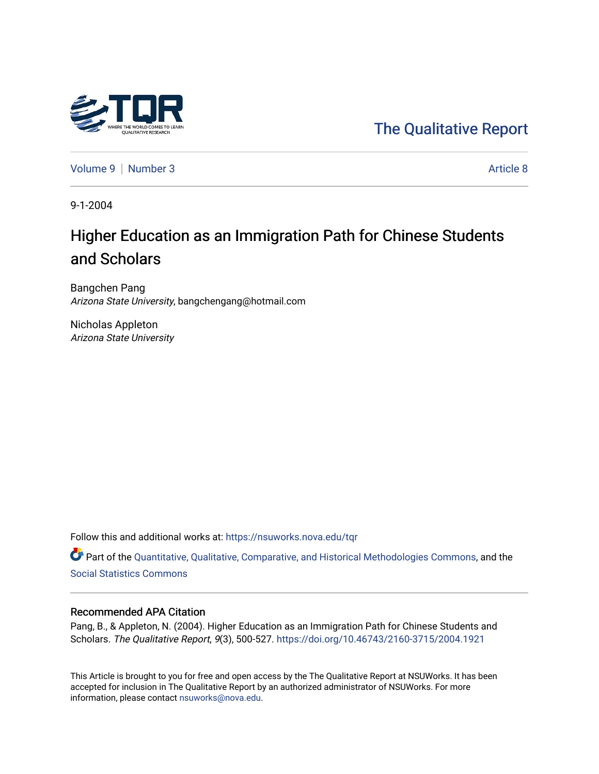

[The Qualitative Report](https://nsuworks.nova.edu/tqr) 

[Volume 9](https://nsuworks.nova.edu/tqr/vol9) | [Number 3](https://nsuworks.nova.edu/tqr/vol9/iss3) Article 8

9-1-2004

# Higher Education as an Immigration Path for Chinese Students and Scholars

Bangchen Pang Arizona State University, bangchengang@hotmail.com

Nicholas Appleton Arizona State University

Follow this and additional works at: [https://nsuworks.nova.edu/tqr](https://nsuworks.nova.edu/tqr?utm_source=nsuworks.nova.edu%2Ftqr%2Fvol9%2Fiss3%2F8&utm_medium=PDF&utm_campaign=PDFCoverPages) 

Part of the [Quantitative, Qualitative, Comparative, and Historical Methodologies Commons,](http://network.bepress.com/hgg/discipline/423?utm_source=nsuworks.nova.edu%2Ftqr%2Fvol9%2Fiss3%2F8&utm_medium=PDF&utm_campaign=PDFCoverPages) and the [Social Statistics Commons](http://network.bepress.com/hgg/discipline/1275?utm_source=nsuworks.nova.edu%2Ftqr%2Fvol9%2Fiss3%2F8&utm_medium=PDF&utm_campaign=PDFCoverPages) 

### Recommended APA Citation

Pang, B., & Appleton, N. (2004). Higher Education as an Immigration Path for Chinese Students and Scholars. The Qualitative Report, 9(3), 500-527. <https://doi.org/10.46743/2160-3715/2004.1921>

This Article is brought to you for free and open access by the The Qualitative Report at NSUWorks. It has been accepted for inclusion in The Qualitative Report by an authorized administrator of NSUWorks. For more information, please contact [nsuworks@nova.edu.](mailto:nsuworks@nova.edu)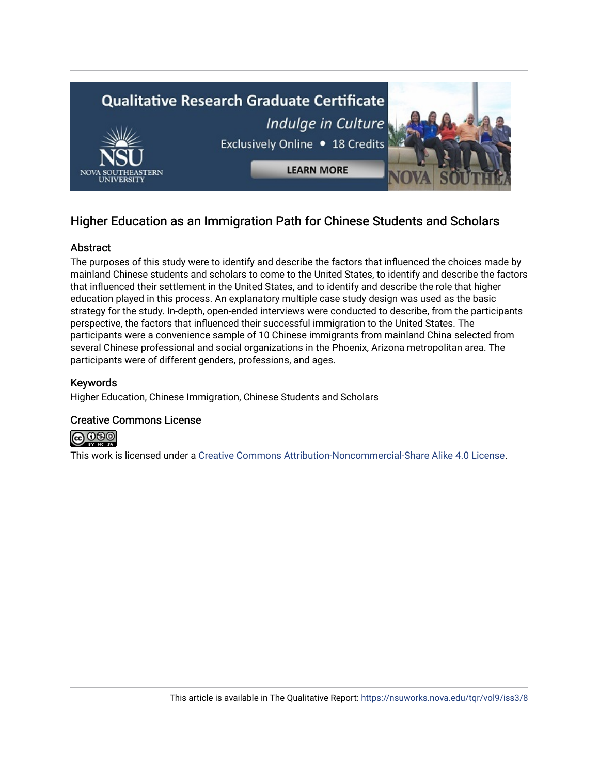

## Higher Education as an Immigration Path for Chinese Students and Scholars

## Abstract

The purposes of this study were to identify and describe the factors that influenced the choices made by mainland Chinese students and scholars to come to the United States, to identify and describe the factors that influenced their settlement in the United States, and to identify and describe the role that higher education played in this process. An explanatory multiple case study design was used as the basic strategy for the study. In-depth, open-ended interviews were conducted to describe, from the participants perspective, the factors that influenced their successful immigration to the United States. The participants were a convenience sample of 10 Chinese immigrants from mainland China selected from several Chinese professional and social organizations in the Phoenix, Arizona metropolitan area. The participants were of different genders, professions, and ages.

## Keywords

Higher Education, Chinese Immigration, Chinese Students and Scholars

## Creative Commons License



This work is licensed under a [Creative Commons Attribution-Noncommercial-Share Alike 4.0 License](https://creativecommons.org/licenses/by-nc-sa/4.0/).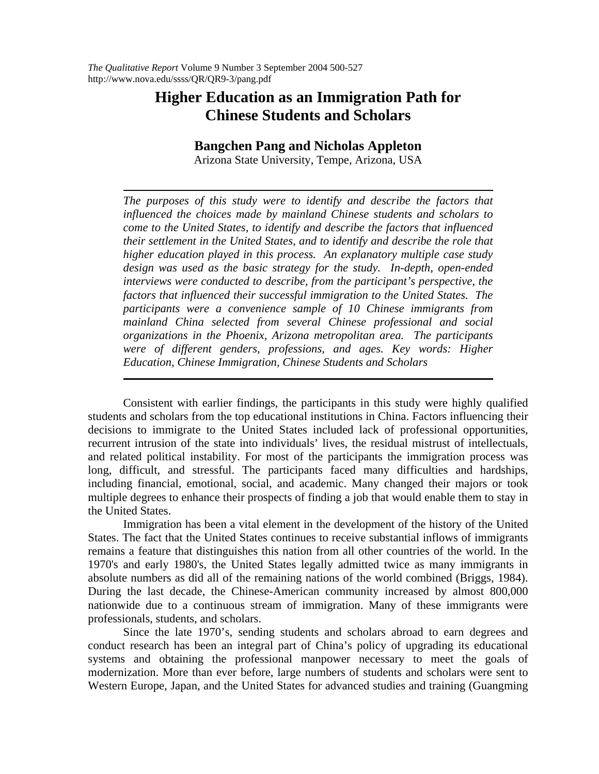## **Higher Education as an Immigration Path for Chinese Students and Scholars**

## **Bangchen Pang and Nicholas Appleton**

Arizona State University, Tempe, Arizona, USA

*The purposes of this study were to identify and describe the factors that influenced the choices made by mainland Chinese students and scholars to come to the United States, to identify and describe the factors that influenced their settlement in the United States, and to identify and describe the role that higher education played in this process. An explanatory multiple case study design was used as the basic strategy for the study. In-depth, open-ended interviews were conducted to describe, from the participant's perspective, the factors that influenced their successful immigration to the United States. The participants were a convenience sample of 10 Chinese immigrants from mainland China selected from several Chinese professional and social organizations in the Phoenix, Arizona metropolitan area. The participants were of different genders, professions, and ages. Key words: Higher Education, Chinese Immigration, Chinese Students and Scholars*

Consistent with earlier findings, the participants in this study were highly qualified students and scholars from the top educational institutions in China. Factors influencing their decisions to immigrate to the United States included lack of professional opportunities, recurrent intrusion of the state into individuals' lives, the residual mistrust of intellectuals, and related political instability. For most of the participants the immigration process was long, difficult, and stressful. The participants faced many difficulties and hardships, including financial, emotional, social, and academic. Many changed their majors or took multiple degrees to enhance their prospects of finding a job that would enable them to stay in the United States.

Immigration has been a vital element in the development of the history of the United States. The fact that the United States continues to receive substantial inflows of immigrants remains a feature that distinguishes this nation from all other countries of the world. In the 1970's and early 1980's, the United States legally admitted twice as many immigrants in absolute numbers as did all of the remaining nations of the world combined (Briggs, 1984). During the last decade, the Chinese-American community increased by almost 800,000 nationwide due to a continuous stream of immigration. Many of these immigrants were professionals, students, and scholars.

Since the late 1970's, sending students and scholars abroad to earn degrees and conduct research has been an integral part of China's policy of upgrading its educational systems and obtaining the professional manpower necessary to meet the goals of modernization. More than ever before, large numbers of students and scholars were sent to Western Europe, Japan, and the United States for advanced studies and training (Guangming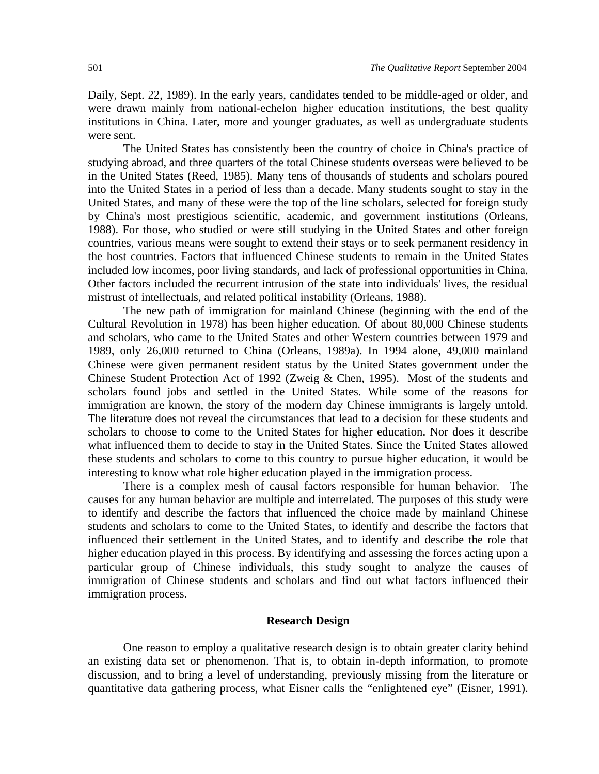Daily, Sept. 22, 1989). In the early years, candidates tended to be middle-aged or older, and were drawn mainly from national-echelon higher education institutions, the best quality institutions in China. Later, more and younger graduates, as well as undergraduate students were sent.

The United States has consistently been the country of choice in China's practice of studying abroad, and three quarters of the total Chinese students overseas were believed to be in the United States (Reed, 1985). Many tens of thousands of students and scholars poured into the United States in a period of less than a decade. Many students sought to stay in the United States, and many of these were the top of the line scholars, selected for foreign study by China's most prestigious scientific, academic, and government institutions (Orleans, 1988). For those, who studied or were still studying in the United States and other foreign countries, various means were sought to extend their stays or to seek permanent residency in the host countries. Factors that influenced Chinese students to remain in the United States included low incomes, poor living standards, and lack of professional opportunities in China. Other factors included the recurrent intrusion of the state into individuals' lives, the residual mistrust of intellectuals, and related political instability (Orleans, 1988).

The new path of immigration for mainland Chinese (beginning with the end of the Cultural Revolution in 1978) has been higher education. Of about 80,000 Chinese students and scholars, who came to the United States and other Western countries between 1979 and 1989, only 26,000 returned to China (Orleans, 1989a). In 1994 alone, 49,000 mainland Chinese were given permanent resident status by the United States government under the Chinese Student Protection Act of 1992 (Zweig & Chen, 1995). Most of the students and scholars found jobs and settled in the United States. While some of the reasons for immigration are known, the story of the modern day Chinese immigrants is largely untold. The literature does not reveal the circumstances that lead to a decision for these students and scholars to choose to come to the United States for higher education. Nor does it describe what influenced them to decide to stay in the United States. Since the United States allowed these students and scholars to come to this country to pursue higher education, it would be interesting to know what role higher education played in the immigration process.

There is a complex mesh of causal factors responsible for human behavior. The causes for any human behavior are multiple and interrelated. The purposes of this study were to identify and describe the factors that influenced the choice made by mainland Chinese students and scholars to come to the United States, to identify and describe the factors that influenced their settlement in the United States, and to identify and describe the role that higher education played in this process. By identifying and assessing the forces acting upon a particular group of Chinese individuals, this study sought to analyze the causes of immigration of Chinese students and scholars and find out what factors influenced their immigration process.

### **Research Design**

One reason to employ a qualitative research design is to obtain greater clarity behind an existing data set or phenomenon. That is, to obtain in-depth information, to promote discussion, and to bring a level of understanding, previously missing from the literature or quantitative data gathering process, what Eisner calls the "enlightened eye" (Eisner, 1991).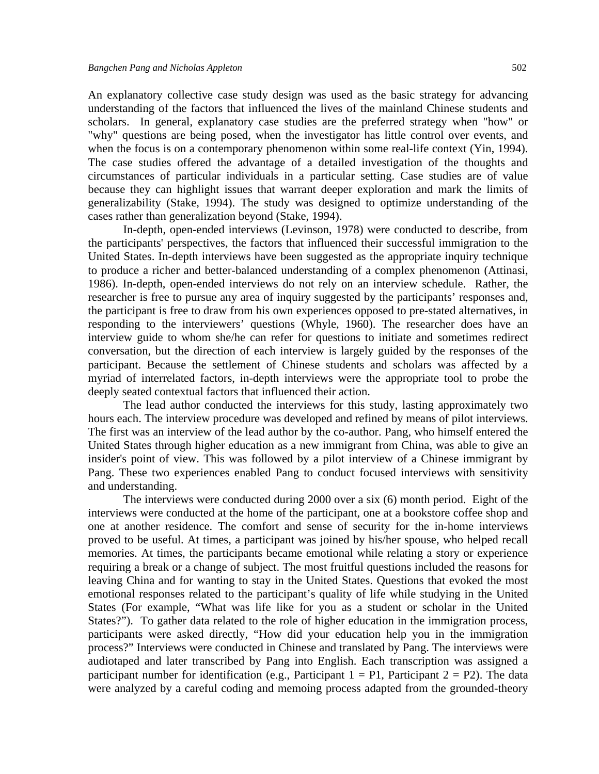An explanatory collective case study design was used as the basic strategy for advancing understanding of the factors that influenced the lives of the mainland Chinese students and scholars. In general, explanatory case studies are the preferred strategy when "how" or "why" questions are being posed, when the investigator has little control over events, and when the focus is on a contemporary phenomenon within some real-life context (Yin, 1994). The case studies offered the advantage of a detailed investigation of the thoughts and circumstances of particular individuals in a particular setting. Case studies are of value because they can highlight issues that warrant deeper exploration and mark the limits of generalizability (Stake, 1994). The study was designed to optimize understanding of the cases rather than generalization beyond (Stake, 1994).

In-depth, open-ended interviews (Levinson, 1978) were conducted to describe, from the participants' perspectives, the factors that influenced their successful immigration to the United States. In-depth interviews have been suggested as the appropriate inquiry technique to produce a richer and better-balanced understanding of a complex phenomenon (Attinasi, 1986). In-depth, open-ended interviews do not rely on an interview schedule. Rather, the researcher is free to pursue any area of inquiry suggested by the participants' responses and, the participant is free to draw from his own experiences opposed to pre-stated alternatives, in responding to the interviewers' questions (Whyle, 1960). The researcher does have an interview guide to whom she/he can refer for questions to initiate and sometimes redirect conversation, but the direction of each interview is largely guided by the responses of the participant. Because the settlement of Chinese students and scholars was affected by a myriad of interrelated factors, in-depth interviews were the appropriate tool to probe the deeply seated contextual factors that influenced their action.

The lead author conducted the interviews for this study, lasting approximately two hours each. The interview procedure was developed and refined by means of pilot interviews. The first was an interview of the lead author by the co-author. Pang, who himself entered the United States through higher education as a new immigrant from China, was able to give an insider's point of view. This was followed by a pilot interview of a Chinese immigrant by Pang. These two experiences enabled Pang to conduct focused interviews with sensitivity and understanding.

The interviews were conducted during 2000 over a six (6) month period. Eight of the interviews were conducted at the home of the participant, one at a bookstore coffee shop and one at another residence. The comfort and sense of security for the in-home interviews proved to be useful. At times, a participant was joined by his/her spouse, who helped recall memories. At times, the participants became emotional while relating a story or experience requiring a break or a change of subject. The most fruitful questions included the reasons for leaving China and for wanting to stay in the United States. Questions that evoked the most emotional responses related to the participant's quality of life while studying in the United States (For example, "What was life like for you as a student or scholar in the United States?"). To gather data related to the role of higher education in the immigration process, participants were asked directly, "How did your education help you in the immigration process?" Interviews were conducted in Chinese and translated by Pang. The interviews were audiotaped and later transcribed by Pang into English. Each transcription was assigned a participant number for identification (e.g., Participant  $1 = \text{P1}$ , Participant  $2 = \text{P2}$ ). The data were analyzed by a careful coding and memoing process adapted from the grounded-theory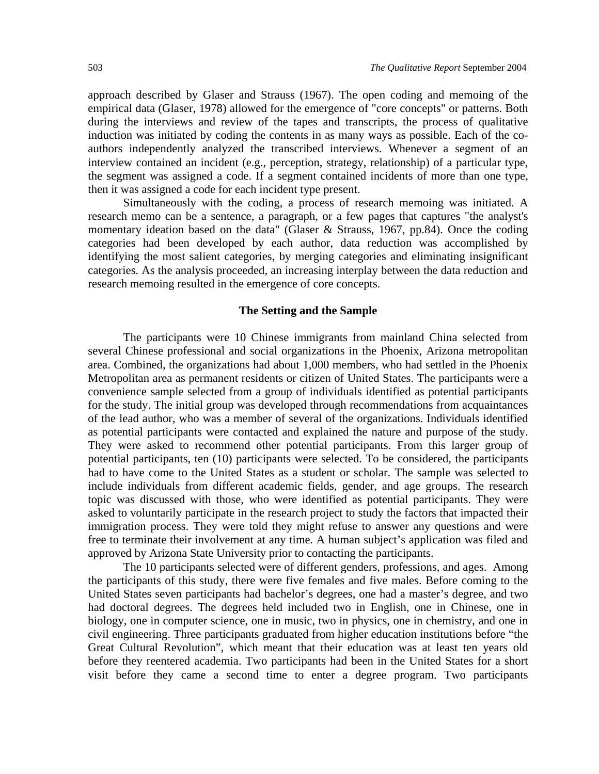approach described by Glaser and Strauss (1967). The open coding and memoing of the empirical data (Glaser, 1978) allowed for the emergence of "core concepts" or patterns. Both during the interviews and review of the tapes and transcripts, the process of qualitative induction was initiated by coding the contents in as many ways as possible. Each of the coauthors independently analyzed the transcribed interviews. Whenever a segment of an interview contained an incident (e.g., perception, strategy, relationship) of a particular type, the segment was assigned a code. If a segment contained incidents of more than one type, then it was assigned a code for each incident type present.

Simultaneously with the coding, a process of research memoing was initiated. A research memo can be a sentence, a paragraph, or a few pages that captures "the analyst's momentary ideation based on the data" (Glaser & Strauss, 1967, pp.84). Once the coding categories had been developed by each author, data reduction was accomplished by identifying the most salient categories, by merging categories and eliminating insignificant categories. As the analysis proceeded, an increasing interplay between the data reduction and research memoing resulted in the emergence of core concepts.

#### **The Setting and the Sample**

The participants were 10 Chinese immigrants from mainland China selected from several Chinese professional and social organizations in the Phoenix, Arizona metropolitan area. Combined, the organizations had about 1,000 members, who had settled in the Phoenix Metropolitan area as permanent residents or citizen of United States. The participants were a convenience sample selected from a group of individuals identified as potential participants for the study. The initial group was developed through recommendations from acquaintances of the lead author, who was a member of several of the organizations. Individuals identified as potential participants were contacted and explained the nature and purpose of the study. They were asked to recommend other potential participants. From this larger group of potential participants, ten (10) participants were selected. To be considered, the participants had to have come to the United States as a student or scholar. The sample was selected to include individuals from different academic fields, gender, and age groups. The research topic was discussed with those, who were identified as potential participants. They were asked to voluntarily participate in the research project to study the factors that impacted their immigration process. They were told they might refuse to answer any questions and were free to terminate their involvement at any time. A human subject's application was filed and approved by Arizona State University prior to contacting the participants.

The 10 participants selected were of different genders, professions, and ages. Among the participants of this study, there were five females and five males. Before coming to the United States seven participants had bachelor's degrees, one had a master's degree, and two had doctoral degrees. The degrees held included two in English, one in Chinese, one in biology, one in computer science, one in music, two in physics, one in chemistry, and one in civil engineering. Three participants graduated from higher education institutions before "the Great Cultural Revolution", which meant that their education was at least ten years old before they reentered academia. Two participants had been in the United States for a short visit before they came a second time to enter a degree program. Two participants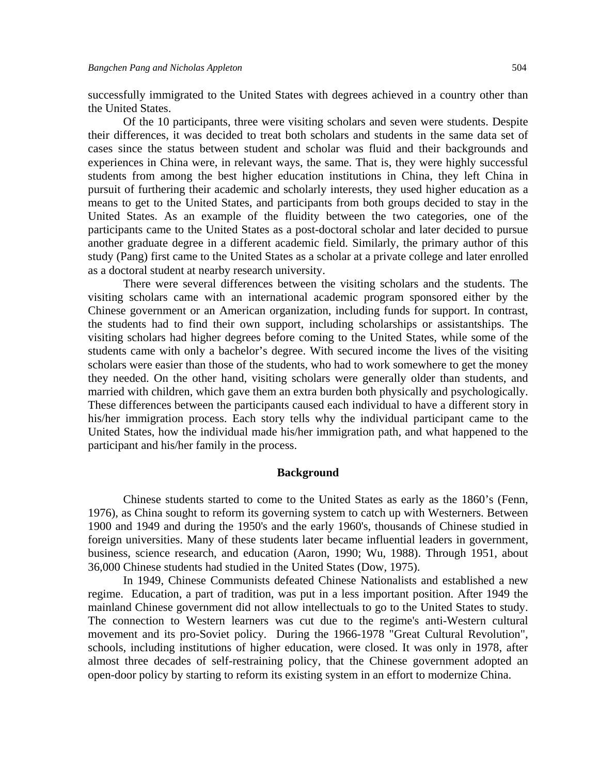successfully immigrated to the United States with degrees achieved in a country other than the United States.

Of the 10 participants, three were visiting scholars and seven were students. Despite their differences, it was decided to treat both scholars and students in the same data set of cases since the status between student and scholar was fluid and their backgrounds and experiences in China were, in relevant ways, the same. That is, they were highly successful students from among the best higher education institutions in China, they left China in pursuit of furthering their academic and scholarly interests, they used higher education as a means to get to the United States, and participants from both groups decided to stay in the United States. As an example of the fluidity between the two categories, one of the participants came to the United States as a post-doctoral scholar and later decided to pursue another graduate degree in a different academic field. Similarly, the primary author of this study (Pang) first came to the United States as a scholar at a private college and later enrolled as a doctoral student at nearby research university.

There were several differences between the visiting scholars and the students. The visiting scholars came with an international academic program sponsored either by the Chinese government or an American organization, including funds for support. In contrast, the students had to find their own support, including scholarships or assistantships. The visiting scholars had higher degrees before coming to the United States, while some of the students came with only a bachelor's degree. With secured income the lives of the visiting scholars were easier than those of the students, who had to work somewhere to get the money they needed. On the other hand, visiting scholars were generally older than students, and married with children, which gave them an extra burden both physically and psychologically. These differences between the participants caused each individual to have a different story in his/her immigration process. Each story tells why the individual participant came to the United States, how the individual made his/her immigration path, and what happened to the participant and his/her family in the process.

#### **Background**

Chinese students started to come to the United States as early as the 1860's (Fenn, 1976), as China sought to reform its governing system to catch up with Westerners. Between 1900 and 1949 and during the 1950's and the early 1960's, thousands of Chinese studied in foreign universities. Many of these students later became influential leaders in government, business, science research, and education (Aaron, 1990; Wu, 1988). Through 1951, about 36,000 Chinese students had studied in the United States (Dow, 1975).

In 1949, Chinese Communists defeated Chinese Nationalists and established a new regime. Education, a part of tradition, was put in a less important position. After 1949 the mainland Chinese government did not allow intellectuals to go to the United States to study. The connection to Western learners was cut due to the regime's anti-Western cultural movement and its pro-Soviet policy. During the 1966-1978 "Great Cultural Revolution", schools, including institutions of higher education, were closed. It was only in 1978, after almost three decades of self-restraining policy, that the Chinese government adopted an open-door policy by starting to reform its existing system in an effort to modernize China.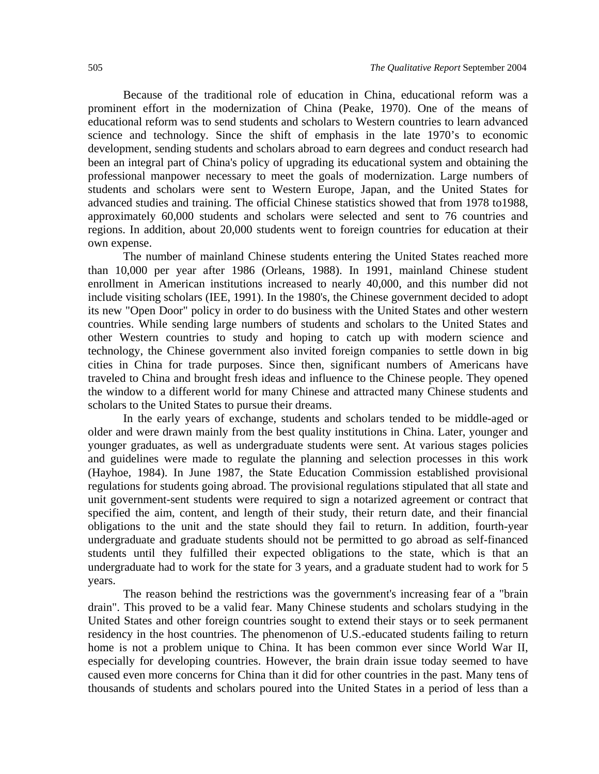Because of the traditional role of education in China, educational reform was a prominent effort in the modernization of China (Peake, 1970). One of the means of educational reform was to send students and scholars to Western countries to learn advanced science and technology. Since the shift of emphasis in the late 1970's to economic development, sending students and scholars abroad to earn degrees and conduct research had been an integral part of China's policy of upgrading its educational system and obtaining the professional manpower necessary to meet the goals of modernization. Large numbers of students and scholars were sent to Western Europe, Japan, and the United States for advanced studies and training. The official Chinese statistics showed that from 1978 to1988, approximately 60,000 students and scholars were selected and sent to 76 countries and regions. In addition, about 20,000 students went to foreign countries for education at their own expense.

The number of mainland Chinese students entering the United States reached more than 10,000 per year after 1986 (Orleans, 1988). In 1991, mainland Chinese student enrollment in American institutions increased to nearly 40,000, and this number did not include visiting scholars (IEE, 1991). In the 1980's, the Chinese government decided to adopt its new "Open Door" policy in order to do business with the United States and other western countries. While sending large numbers of students and scholars to the United States and other Western countries to study and hoping to catch up with modern science and technology, the Chinese government also invited foreign companies to settle down in big cities in China for trade purposes. Since then, significant numbers of Americans have traveled to China and brought fresh ideas and influence to the Chinese people. They opened the window to a different world for many Chinese and attracted many Chinese students and scholars to the United States to pursue their dreams.

In the early years of exchange, students and scholars tended to be middle-aged or older and were drawn mainly from the best quality institutions in China. Later, younger and younger graduates, as well as undergraduate students were sent. At various stages policies and guidelines were made to regulate the planning and selection processes in this work (Hayhoe, 1984). In June 1987, the State Education Commission established provisional regulations for students going abroad. The provisional regulations stipulated that all state and unit government-sent students were required to sign a notarized agreement or contract that specified the aim, content, and length of their study, their return date, and their financial obligations to the unit and the state should they fail to return. In addition, fourth-year undergraduate and graduate students should not be permitted to go abroad as self-financed students until they fulfilled their expected obligations to the state, which is that an undergraduate had to work for the state for 3 years, and a graduate student had to work for 5 years.

The reason behind the restrictions was the government's increasing fear of a "brain drain". This proved to be a valid fear. Many Chinese students and scholars studying in the United States and other foreign countries sought to extend their stays or to seek permanent residency in the host countries. The phenomenon of U.S.-educated students failing to return home is not a problem unique to China. It has been common ever since World War II, especially for developing countries. However, the brain drain issue today seemed to have caused even more concerns for China than it did for other countries in the past. Many tens of thousands of students and scholars poured into the United States in a period of less than a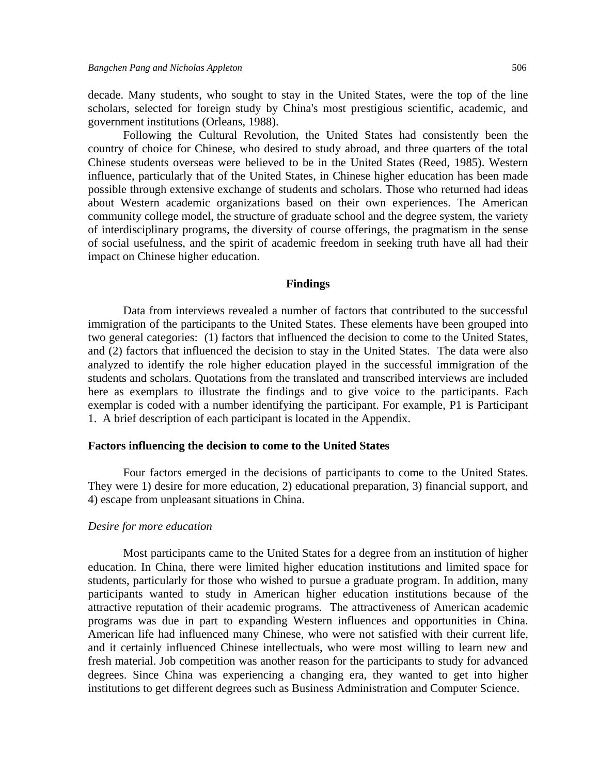decade. Many students, who sought to stay in the United States, were the top of the line scholars, selected for foreign study by China's most prestigious scientific, academic, and government institutions (Orleans, 1988).

Following the Cultural Revolution, the United States had consistently been the country of choice for Chinese, who desired to study abroad, and three quarters of the total Chinese students overseas were believed to be in the United States (Reed, 1985). Western influence, particularly that of the United States, in Chinese higher education has been made possible through extensive exchange of students and scholars. Those who returned had ideas about Western academic organizations based on their own experiences. The American community college model, the structure of graduate school and the degree system, the variety of interdisciplinary programs, the diversity of course offerings, the pragmatism in the sense of social usefulness, and the spirit of academic freedom in seeking truth have all had their impact on Chinese higher education.

#### **Findings**

Data from interviews revealed a number of factors that contributed to the successful immigration of the participants to the United States. These elements have been grouped into two general categories: (1) factors that influenced the decision to come to the United States, and (2) factors that influenced the decision to stay in the United States. The data were also analyzed to identify the role higher education played in the successful immigration of the students and scholars. Quotations from the translated and transcribed interviews are included here as exemplars to illustrate the findings and to give voice to the participants. Each exemplar is coded with a number identifying the participant. For example, P1 is Participant 1. A brief description of each participant is located in the Appendix.

#### **Factors influencing the decision to come to the United States**

 Four factors emerged in the decisions of participants to come to the United States. They were 1) desire for more education, 2) educational preparation, 3) financial support, and 4) escape from unpleasant situations in China.

#### *Desire for more education*

 Most participants came to the United States for a degree from an institution of higher education. In China, there were limited higher education institutions and limited space for students, particularly for those who wished to pursue a graduate program. In addition, many participants wanted to study in American higher education institutions because of the attractive reputation of their academic programs. The attractiveness of American academic programs was due in part to expanding Western influences and opportunities in China. American life had influenced many Chinese, who were not satisfied with their current life, and it certainly influenced Chinese intellectuals, who were most willing to learn new and fresh material. Job competition was another reason for the participants to study for advanced degrees. Since China was experiencing a changing era, they wanted to get into higher institutions to get different degrees such as Business Administration and Computer Science.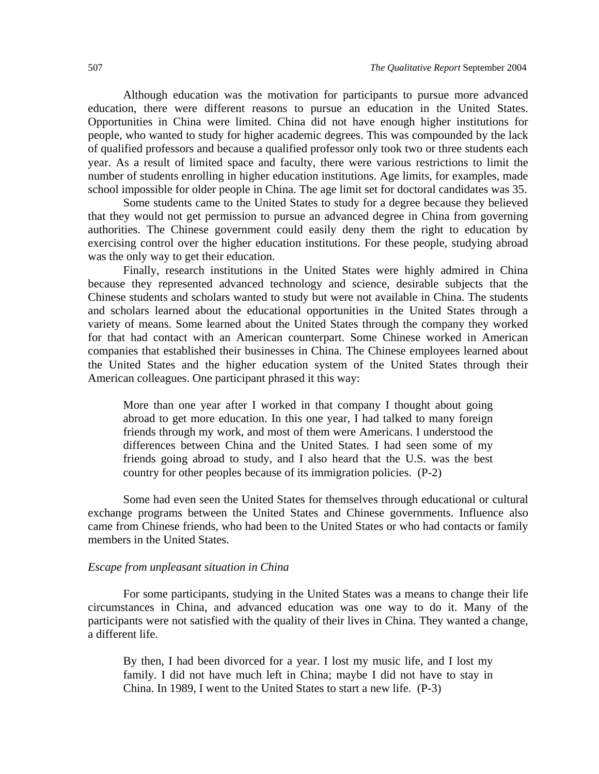Although education was the motivation for participants to pursue more advanced education, there were different reasons to pursue an education in the United States. Opportunities in China were limited. China did not have enough higher institutions for people, who wanted to study for higher academic degrees. This was compounded by the lack of qualified professors and because a qualified professor only took two or three students each year. As a result of limited space and faculty, there were various restrictions to limit the number of students enrolling in higher education institutions. Age limits, for examples, made school impossible for older people in China. The age limit set for doctoral candidates was 35.

Some students came to the United States to study for a degree because they believed that they would not get permission to pursue an advanced degree in China from governing authorities. The Chinese government could easily deny them the right to education by exercising control over the higher education institutions. For these people, studying abroad was the only way to get their education.

Finally, research institutions in the United States were highly admired in China because they represented advanced technology and science, desirable subjects that the Chinese students and scholars wanted to study but were not available in China. The students and scholars learned about the educational opportunities in the United States through a variety of means. Some learned about the United States through the company they worked for that had contact with an American counterpart. Some Chinese worked in American companies that established their businesses in China. The Chinese employees learned about the United States and the higher education system of the United States through their American colleagues. One participant phrased it this way:

More than one year after I worked in that company I thought about going abroad to get more education. In this one year, I had talked to many foreign friends through my work, and most of them were Americans. I understood the differences between China and the United States. I had seen some of my friends going abroad to study, and I also heard that the U.S. was the best country for other peoples because of its immigration policies. (P-2)

Some had even seen the United States for themselves through educational or cultural exchange programs between the United States and Chinese governments. Influence also came from Chinese friends, who had been to the United States or who had contacts or family members in the United States.

#### *Escape from unpleasant situation in China*

For some participants, studying in the United States was a means to change their life circumstances in China, and advanced education was one way to do it. Many of the participants were not satisfied with the quality of their lives in China. They wanted a change, a different life.

By then, I had been divorced for a year. I lost my music life, and I lost my family. I did not have much left in China; maybe I did not have to stay in China. In 1989, I went to the United States to start a new life. (P-3)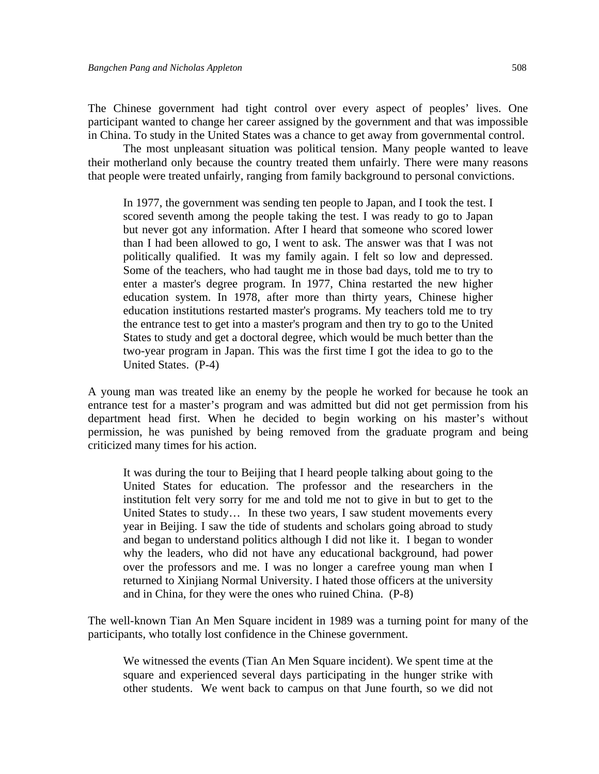The Chinese government had tight control over every aspect of peoples' lives. One participant wanted to change her career assigned by the government and that was impossible in China. To study in the United States was a chance to get away from governmental control.

 The most unpleasant situation was political tension. Many people wanted to leave their motherland only because the country treated them unfairly. There were many reasons that people were treated unfairly, ranging from family background to personal convictions.

In 1977, the government was sending ten people to Japan, and I took the test. I scored seventh among the people taking the test. I was ready to go to Japan but never got any information. After I heard that someone who scored lower than I had been allowed to go, I went to ask. The answer was that I was not politically qualified. It was my family again. I felt so low and depressed. Some of the teachers, who had taught me in those bad days, told me to try to enter a master's degree program. In 1977, China restarted the new higher education system. In 1978, after more than thirty years, Chinese higher education institutions restarted master's programs. My teachers told me to try the entrance test to get into a master's program and then try to go to the United States to study and get a doctoral degree, which would be much better than the two-year program in Japan. This was the first time I got the idea to go to the United States. (P-4)

A young man was treated like an enemy by the people he worked for because he took an entrance test for a master's program and was admitted but did not get permission from his department head first. When he decided to begin working on his master's without permission, he was punished by being removed from the graduate program and being criticized many times for his action.

It was during the tour to Beijing that I heard people talking about going to the United States for education. The professor and the researchers in the institution felt very sorry for me and told me not to give in but to get to the United States to study… In these two years, I saw student movements every year in Beijing. I saw the tide of students and scholars going abroad to study and began to understand politics although I did not like it. I began to wonder why the leaders, who did not have any educational background, had power over the professors and me. I was no longer a carefree young man when I returned to Xinjiang Normal University. I hated those officers at the university and in China, for they were the ones who ruined China. (P-8)

The well-known Tian An Men Square incident in 1989 was a turning point for many of the participants, who totally lost confidence in the Chinese government.

We witnessed the events (Tian An Men Square incident). We spent time at the square and experienced several days participating in the hunger strike with other students. We went back to campus on that June fourth, so we did not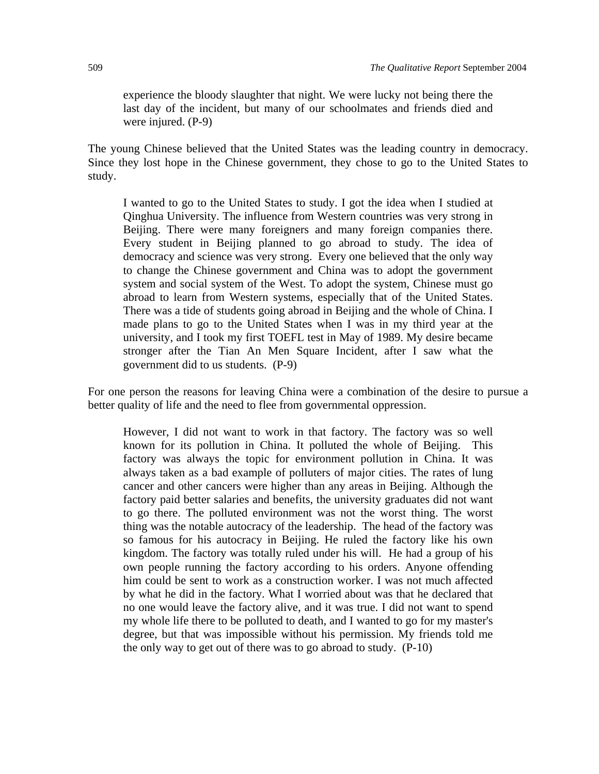experience the bloody slaughter that night. We were lucky not being there the last day of the incident, but many of our schoolmates and friends died and were injured. (P-9)

The young Chinese believed that the United States was the leading country in democracy. Since they lost hope in the Chinese government, they chose to go to the United States to study.

I wanted to go to the United States to study. I got the idea when I studied at Qinghua University. The influence from Western countries was very strong in Beijing. There were many foreigners and many foreign companies there. Every student in Beijing planned to go abroad to study. The idea of democracy and science was very strong. Every one believed that the only way to change the Chinese government and China was to adopt the government system and social system of the West. To adopt the system, Chinese must go abroad to learn from Western systems, especially that of the United States. There was a tide of students going abroad in Beijing and the whole of China. I made plans to go to the United States when I was in my third year at the university, and I took my first TOEFL test in May of 1989. My desire became stronger after the Tian An Men Square Incident, after I saw what the government did to us students. (P-9)

For one person the reasons for leaving China were a combination of the desire to pursue a better quality of life and the need to flee from governmental oppression.

However, I did not want to work in that factory. The factory was so well known for its pollution in China. It polluted the whole of Beijing. This factory was always the topic for environment pollution in China. It was always taken as a bad example of polluters of major cities. The rates of lung cancer and other cancers were higher than any areas in Beijing. Although the factory paid better salaries and benefits, the university graduates did not want to go there. The polluted environment was not the worst thing. The worst thing was the notable autocracy of the leadership. The head of the factory was so famous for his autocracy in Beijing. He ruled the factory like his own kingdom. The factory was totally ruled under his will. He had a group of his own people running the factory according to his orders. Anyone offending him could be sent to work as a construction worker. I was not much affected by what he did in the factory. What I worried about was that he declared that no one would leave the factory alive, and it was true. I did not want to spend my whole life there to be polluted to death, and I wanted to go for my master's degree, but that was impossible without his permission. My friends told me the only way to get out of there was to go abroad to study. (P-10)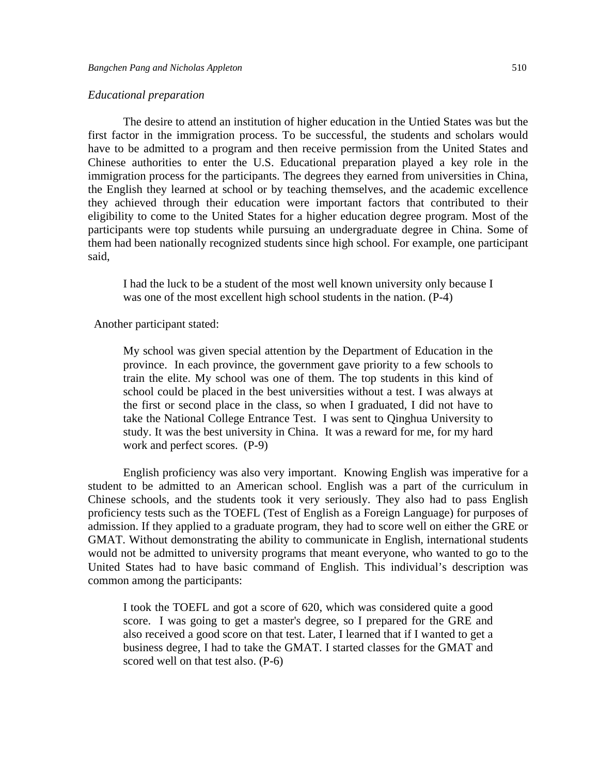#### *Educational preparation*

The desire to attend an institution of higher education in the Untied States was but the first factor in the immigration process. To be successful, the students and scholars would have to be admitted to a program and then receive permission from the United States and Chinese authorities to enter the U.S. Educational preparation played a key role in the immigration process for the participants. The degrees they earned from universities in China, the English they learned at school or by teaching themselves, and the academic excellence they achieved through their education were important factors that contributed to their eligibility to come to the United States for a higher education degree program. Most of the participants were top students while pursuing an undergraduate degree in China. Some of them had been nationally recognized students since high school. For example, one participant said,

I had the luck to be a student of the most well known university only because I was one of the most excellent high school students in the nation. (P-4)

Another participant stated:

My school was given special attention by the Department of Education in the province. In each province, the government gave priority to a few schools to train the elite. My school was one of them. The top students in this kind of school could be placed in the best universities without a test. I was always at the first or second place in the class, so when I graduated, I did not have to take the National College Entrance Test. I was sent to Qinghua University to study. It was the best university in China. It was a reward for me, for my hard work and perfect scores. (P-9)

English proficiency was also very important. Knowing English was imperative for a student to be admitted to an American school. English was a part of the curriculum in Chinese schools, and the students took it very seriously. They also had to pass English proficiency tests such as the TOEFL (Test of English as a Foreign Language) for purposes of admission. If they applied to a graduate program, they had to score well on either the GRE or GMAT. Without demonstrating the ability to communicate in English, international students would not be admitted to university programs that meant everyone, who wanted to go to the United States had to have basic command of English. This individual's description was common among the participants:

I took the TOEFL and got a score of 620, which was considered quite a good score. I was going to get a master's degree, so I prepared for the GRE and also received a good score on that test. Later, I learned that if I wanted to get a business degree, I had to take the GMAT. I started classes for the GMAT and scored well on that test also. (P-6)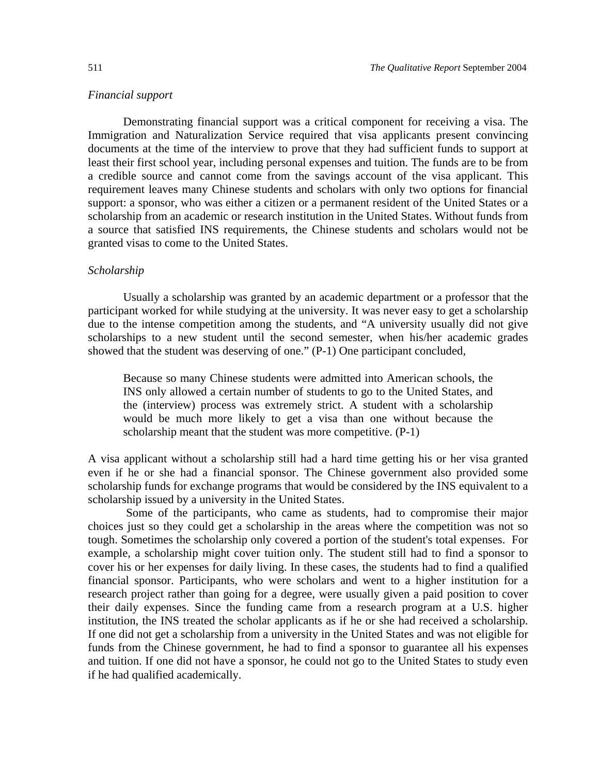#### *Financial support*

Demonstrating financial support was a critical component for receiving a visa. The Immigration and Naturalization Service required that visa applicants present convincing documents at the time of the interview to prove that they had sufficient funds to support at least their first school year, including personal expenses and tuition. The funds are to be from a credible source and cannot come from the savings account of the visa applicant. This requirement leaves many Chinese students and scholars with only two options for financial support: a sponsor, who was either a citizen or a permanent resident of the United States or a scholarship from an academic or research institution in the United States. Without funds from a source that satisfied INS requirements, the Chinese students and scholars would not be granted visas to come to the United States.

#### *Scholarship*

Usually a scholarship was granted by an academic department or a professor that the participant worked for while studying at the university. It was never easy to get a scholarship due to the intense competition among the students, and "A university usually did not give scholarships to a new student until the second semester, when his/her academic grades showed that the student was deserving of one." (P-1) One participant concluded,

Because so many Chinese students were admitted into American schools, the INS only allowed a certain number of students to go to the United States, and the (interview) process was extremely strict. A student with a scholarship would be much more likely to get a visa than one without because the scholarship meant that the student was more competitive. (P-1)

A visa applicant without a scholarship still had a hard time getting his or her visa granted even if he or she had a financial sponsor. The Chinese government also provided some scholarship funds for exchange programs that would be considered by the INS equivalent to a scholarship issued by a university in the United States.

Some of the participants, who came as students, had to compromise their major choices just so they could get a scholarship in the areas where the competition was not so tough. Sometimes the scholarship only covered a portion of the student's total expenses. For example, a scholarship might cover tuition only. The student still had to find a sponsor to cover his or her expenses for daily living. In these cases, the students had to find a qualified financial sponsor. Participants, who were scholars and went to a higher institution for a research project rather than going for a degree, were usually given a paid position to cover their daily expenses. Since the funding came from a research program at a U.S. higher institution, the INS treated the scholar applicants as if he or she had received a scholarship. If one did not get a scholarship from a university in the United States and was not eligible for funds from the Chinese government, he had to find a sponsor to guarantee all his expenses and tuition. If one did not have a sponsor, he could not go to the United States to study even if he had qualified academically.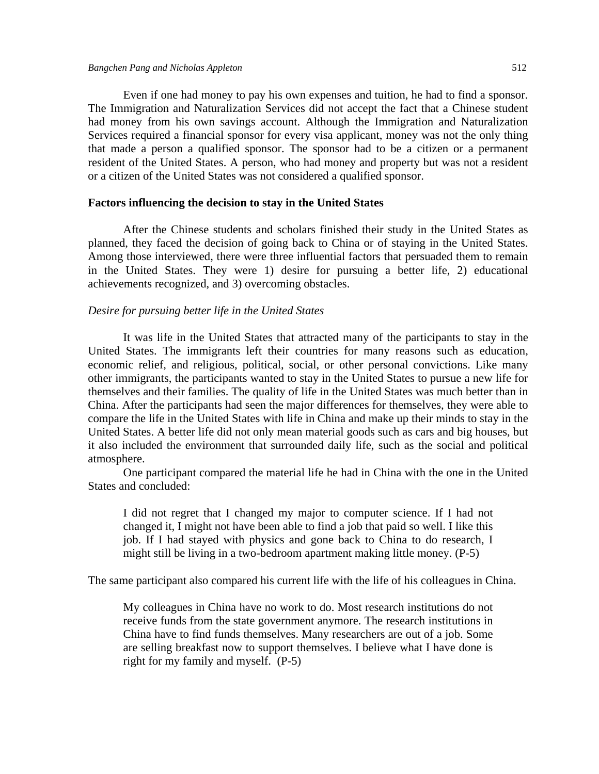Even if one had money to pay his own expenses and tuition, he had to find a sponsor. The Immigration and Naturalization Services did not accept the fact that a Chinese student had money from his own savings account. Although the Immigration and Naturalization Services required a financial sponsor for every visa applicant, money was not the only thing that made a person a qualified sponsor. The sponsor had to be a citizen or a permanent resident of the United States. A person, who had money and property but was not a resident

#### **Factors influencing the decision to stay in the United States**

or a citizen of the United States was not considered a qualified sponsor.

 After the Chinese students and scholars finished their study in the United States as planned, they faced the decision of going back to China or of staying in the United States. Among those interviewed, there were three influential factors that persuaded them to remain in the United States. They were 1) desire for pursuing a better life, 2) educational achievements recognized, and 3) overcoming obstacles.

#### *Desire for pursuing better life in the United States*

It was life in the United States that attracted many of the participants to stay in the United States. The immigrants left their countries for many reasons such as education, economic relief, and religious, political, social, or other personal convictions. Like many other immigrants, the participants wanted to stay in the United States to pursue a new life for themselves and their families. The quality of life in the United States was much better than in China. After the participants had seen the major differences for themselves, they were able to compare the life in the United States with life in China and make up their minds to stay in the United States. A better life did not only mean material goods such as cars and big houses, but it also included the environment that surrounded daily life, such as the social and political atmosphere.

One participant compared the material life he had in China with the one in the United States and concluded:

I did not regret that I changed my major to computer science. If I had not changed it, I might not have been able to find a job that paid so well. I like this job. If I had stayed with physics and gone back to China to do research, I might still be living in a two-bedroom apartment making little money. (P-5)

The same participant also compared his current life with the life of his colleagues in China.

My colleagues in China have no work to do. Most research institutions do not receive funds from the state government anymore. The research institutions in China have to find funds themselves. Many researchers are out of a job. Some are selling breakfast now to support themselves. I believe what I have done is right for my family and myself. (P-5)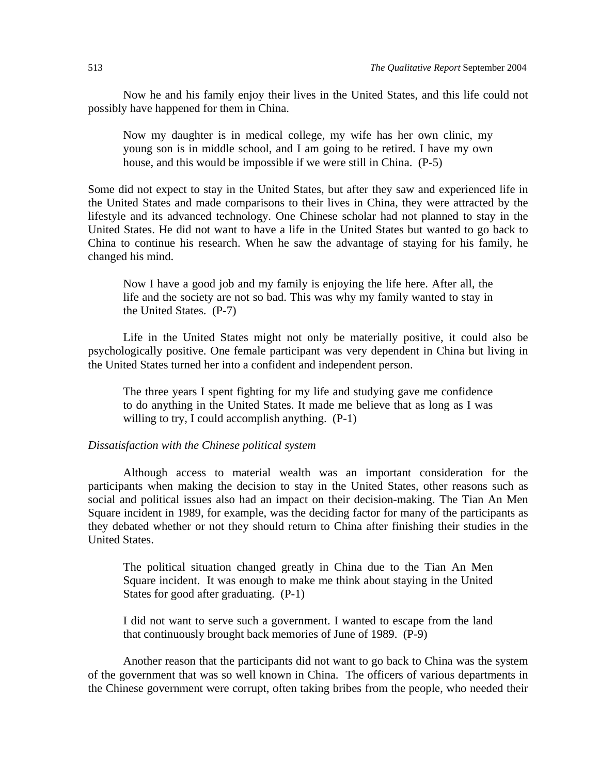Now he and his family enjoy their lives in the United States, and this life could not possibly have happened for them in China.

Now my daughter is in medical college, my wife has her own clinic, my young son is in middle school, and I am going to be retired. I have my own house, and this would be impossible if we were still in China. (P-5)

Some did not expect to stay in the United States, but after they saw and experienced life in the United States and made comparisons to their lives in China, they were attracted by the lifestyle and its advanced technology. One Chinese scholar had not planned to stay in the United States. He did not want to have a life in the United States but wanted to go back to China to continue his research. When he saw the advantage of staying for his family, he changed his mind.

Now I have a good job and my family is enjoying the life here. After all, the life and the society are not so bad. This was why my family wanted to stay in the United States. (P-7)

Life in the United States might not only be materially positive, it could also be psychologically positive. One female participant was very dependent in China but living in the United States turned her into a confident and independent person.

The three years I spent fighting for my life and studying gave me confidence to do anything in the United States. It made me believe that as long as I was willing to try, I could accomplish anything.  $(P-1)$ 

#### *Dissatisfaction with the Chinese political system*

Although access to material wealth was an important consideration for the participants when making the decision to stay in the United States, other reasons such as social and political issues also had an impact on their decision-making. The Tian An Men Square incident in 1989, for example, was the deciding factor for many of the participants as they debated whether or not they should return to China after finishing their studies in the United States.

The political situation changed greatly in China due to the Tian An Men Square incident. It was enough to make me think about staying in the United States for good after graduating. (P-1)

I did not want to serve such a government. I wanted to escape from the land that continuously brought back memories of June of 1989. (P-9)

Another reason that the participants did not want to go back to China was the system of the government that was so well known in China. The officers of various departments in the Chinese government were corrupt, often taking bribes from the people, who needed their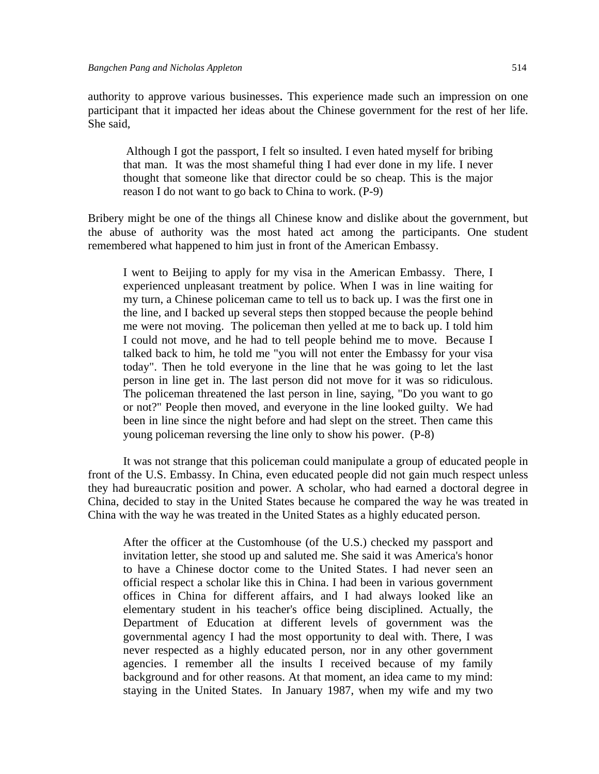authority to approve various businesses. This experience made such an impression on one participant that it impacted her ideas about the Chinese government for the rest of her life. She said,

 Although I got the passport, I felt so insulted. I even hated myself for bribing that man. It was the most shameful thing I had ever done in my life. I never thought that someone like that director could be so cheap. This is the major reason I do not want to go back to China to work. (P-9)

Bribery might be one of the things all Chinese know and dislike about the government, but the abuse of authority was the most hated act among the participants. One student remembered what happened to him just in front of the American Embassy.

I went to Beijing to apply for my visa in the American Embassy. There, I experienced unpleasant treatment by police. When I was in line waiting for my turn, a Chinese policeman came to tell us to back up. I was the first one in the line, and I backed up several steps then stopped because the people behind me were not moving. The policeman then yelled at me to back up. I told him I could not move, and he had to tell people behind me to move. Because I talked back to him, he told me "you will not enter the Embassy for your visa today". Then he told everyone in the line that he was going to let the last person in line get in. The last person did not move for it was so ridiculous. The policeman threatened the last person in line, saying, "Do you want to go or not?" People then moved, and everyone in the line looked guilty. We had been in line since the night before and had slept on the street. Then came this young policeman reversing the line only to show his power. (P-8)

It was not strange that this policeman could manipulate a group of educated people in front of the U.S. Embassy. In China, even educated people did not gain much respect unless they had bureaucratic position and power. A scholar, who had earned a doctoral degree in China, decided to stay in the United States because he compared the way he was treated in China with the way he was treated in the United States as a highly educated person.

After the officer at the Customhouse (of the U.S.) checked my passport and invitation letter, she stood up and saluted me. She said it was America's honor to have a Chinese doctor come to the United States. I had never seen an official respect a scholar like this in China. I had been in various government offices in China for different affairs, and I had always looked like an elementary student in his teacher's office being disciplined. Actually, the Department of Education at different levels of government was the governmental agency I had the most opportunity to deal with. There, I was never respected as a highly educated person, nor in any other government agencies. I remember all the insults I received because of my family background and for other reasons. At that moment, an idea came to my mind: staying in the United States. In January 1987, when my wife and my two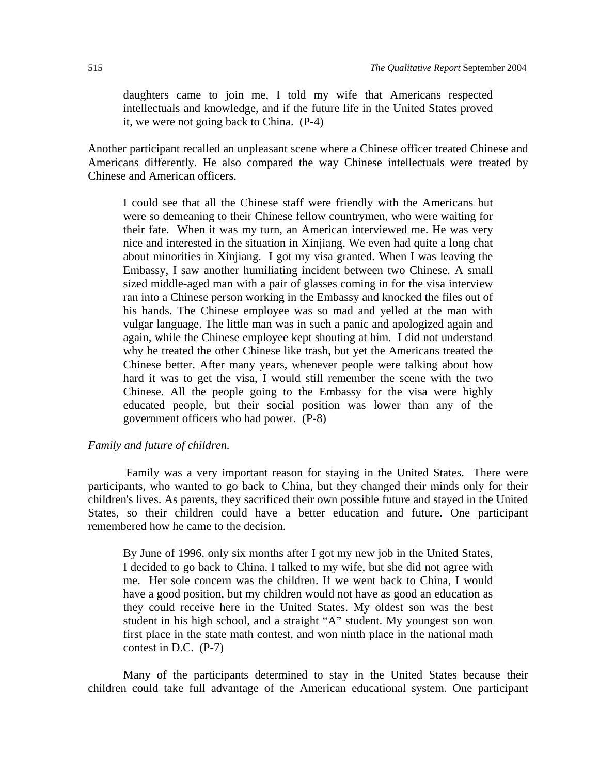daughters came to join me, I told my wife that Americans respected intellectuals and knowledge, and if the future life in the United States proved it, we were not going back to China. (P-4)

Another participant recalled an unpleasant scene where a Chinese officer treated Chinese and Americans differently. He also compared the way Chinese intellectuals were treated by Chinese and American officers.

I could see that all the Chinese staff were friendly with the Americans but were so demeaning to their Chinese fellow countrymen, who were waiting for their fate. When it was my turn, an American interviewed me. He was very nice and interested in the situation in Xinjiang. We even had quite a long chat about minorities in Xinjiang. I got my visa granted. When I was leaving the Embassy, I saw another humiliating incident between two Chinese. A small sized middle-aged man with a pair of glasses coming in for the visa interview ran into a Chinese person working in the Embassy and knocked the files out of his hands. The Chinese employee was so mad and yelled at the man with vulgar language. The little man was in such a panic and apologized again and again, while the Chinese employee kept shouting at him. I did not understand why he treated the other Chinese like trash, but yet the Americans treated the Chinese better. After many years, whenever people were talking about how hard it was to get the visa, I would still remember the scene with the two Chinese. All the people going to the Embassy for the visa were highly educated people, but their social position was lower than any of the government officers who had power. (P-8)

## *Family and future of children.*

Family was a very important reason for staying in the United States. There were participants, who wanted to go back to China, but they changed their minds only for their children's lives. As parents, they sacrificed their own possible future and stayed in the United States, so their children could have a better education and future. One participant remembered how he came to the decision.

By June of 1996, only six months after I got my new job in the United States, I decided to go back to China. I talked to my wife, but she did not agree with me. Her sole concern was the children. If we went back to China, I would have a good position, but my children would not have as good an education as they could receive here in the United States. My oldest son was the best student in his high school, and a straight "A" student. My youngest son won first place in the state math contest, and won ninth place in the national math contest in D.C. (P-7)

Many of the participants determined to stay in the United States because their children could take full advantage of the American educational system. One participant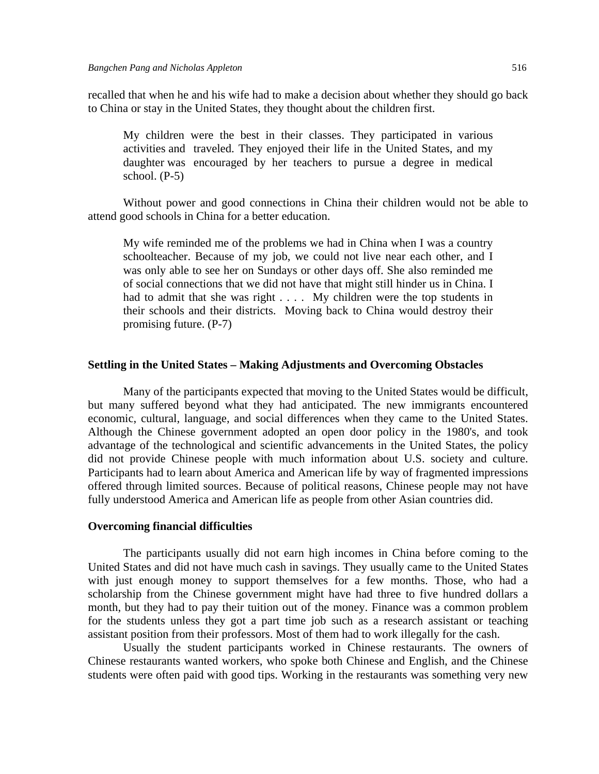recalled that when he and his wife had to make a decision about whether they should go back to China or stay in the United States, they thought about the children first.

My children were the best in their classes. They participated in various activities and traveled. They enjoyed their life in the United States, and my daughter was encouraged by her teachers to pursue a degree in medical school. (P-5)

Without power and good connections in China their children would not be able to attend good schools in China for a better education.

My wife reminded me of the problems we had in China when I was a country schoolteacher. Because of my job, we could not live near each other, and I was only able to see her on Sundays or other days off. She also reminded me of social connections that we did not have that might still hinder us in China. I had to admit that she was right . . . . My children were the top students in their schools and their districts. Moving back to China would destroy their promising future. (P-7)

#### **Settling in the United States – Making Adjustments and Overcoming Obstacles**

 Many of the participants expected that moving to the United States would be difficult, but many suffered beyond what they had anticipated. The new immigrants encountered economic, cultural, language, and social differences when they came to the United States. Although the Chinese government adopted an open door policy in the 1980's, and took advantage of the technological and scientific advancements in the United States, the policy did not provide Chinese people with much information about U.S. society and culture. Participants had to learn about America and American life by way of fragmented impressions offered through limited sources. Because of political reasons, Chinese people may not have fully understood America and American life as people from other Asian countries did.

#### **Overcoming financial difficulties**

 The participants usually did not earn high incomes in China before coming to the United States and did not have much cash in savings. They usually came to the United States with just enough money to support themselves for a few months. Those, who had a scholarship from the Chinese government might have had three to five hundred dollars a month, but they had to pay their tuition out of the money. Finance was a common problem for the students unless they got a part time job such as a research assistant or teaching assistant position from their professors. Most of them had to work illegally for the cash.

Usually the student participants worked in Chinese restaurants. The owners of Chinese restaurants wanted workers, who spoke both Chinese and English, and the Chinese students were often paid with good tips. Working in the restaurants was something very new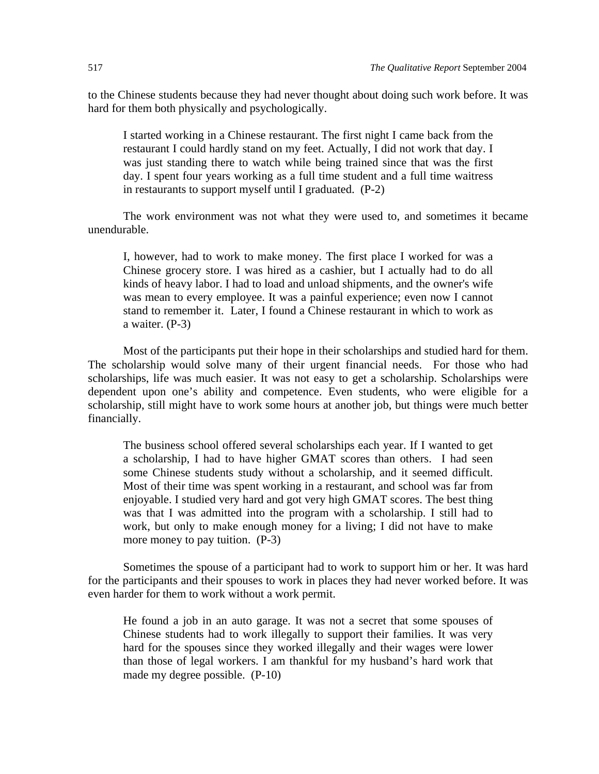to the Chinese students because they had never thought about doing such work before. It was hard for them both physically and psychologically.

I started working in a Chinese restaurant. The first night I came back from the restaurant I could hardly stand on my feet. Actually, I did not work that day. I was just standing there to watch while being trained since that was the first day. I spent four years working as a full time student and a full time waitress in restaurants to support myself until I graduated. (P-2)

The work environment was not what they were used to, and sometimes it became unendurable.

I, however, had to work to make money. The first place I worked for was a Chinese grocery store. I was hired as a cashier, but I actually had to do all kinds of heavy labor. I had to load and unload shipments, and the owner's wife was mean to every employee. It was a painful experience; even now I cannot stand to remember it. Later, I found a Chinese restaurant in which to work as a waiter. (P-3)

Most of the participants put their hope in their scholarships and studied hard for them. The scholarship would solve many of their urgent financial needs. For those who had scholarships, life was much easier. It was not easy to get a scholarship. Scholarships were dependent upon one's ability and competence. Even students, who were eligible for a scholarship, still might have to work some hours at another job, but things were much better financially.

The business school offered several scholarships each year. If I wanted to get a scholarship, I had to have higher GMAT scores than others. I had seen some Chinese students study without a scholarship, and it seemed difficult. Most of their time was spent working in a restaurant, and school was far from enjoyable. I studied very hard and got very high GMAT scores. The best thing was that I was admitted into the program with a scholarship. I still had to work, but only to make enough money for a living; I did not have to make more money to pay tuition. (P-3)

Sometimes the spouse of a participant had to work to support him or her. It was hard for the participants and their spouses to work in places they had never worked before. It was even harder for them to work without a work permit.

He found a job in an auto garage. It was not a secret that some spouses of Chinese students had to work illegally to support their families. It was very hard for the spouses since they worked illegally and their wages were lower than those of legal workers. I am thankful for my husband's hard work that made my degree possible. (P-10)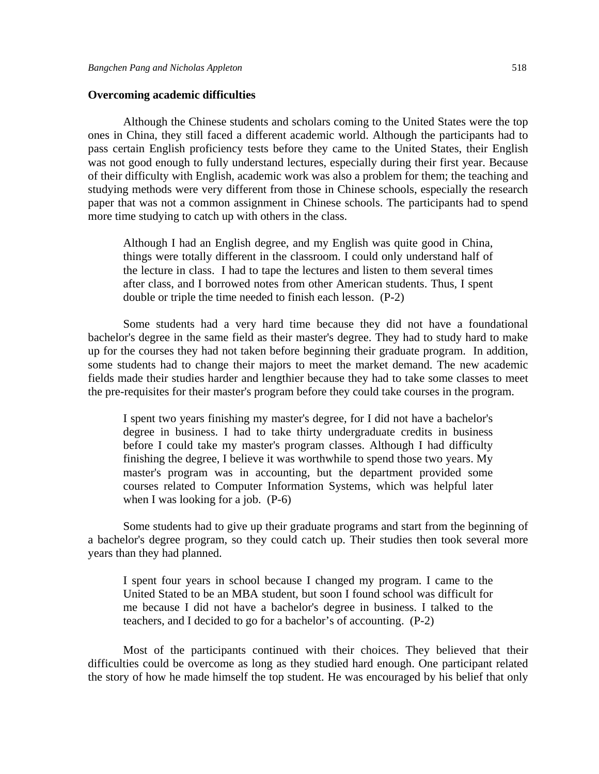#### **Overcoming academic difficulties**

 Although the Chinese students and scholars coming to the United States were the top ones in China, they still faced a different academic world. Although the participants had to pass certain English proficiency tests before they came to the United States, their English was not good enough to fully understand lectures, especially during their first year. Because of their difficulty with English, academic work was also a problem for them; the teaching and studying methods were very different from those in Chinese schools, especially the research paper that was not a common assignment in Chinese schools. The participants had to spend more time studying to catch up with others in the class.

Although I had an English degree, and my English was quite good in China, things were totally different in the classroom. I could only understand half of the lecture in class. I had to tape the lectures and listen to them several times after class, and I borrowed notes from other American students. Thus, I spent double or triple the time needed to finish each lesson. (P-2)

 Some students had a very hard time because they did not have a foundational bachelor's degree in the same field as their master's degree. They had to study hard to make up for the courses they had not taken before beginning their graduate program. In addition, some students had to change their majors to meet the market demand. The new academic fields made their studies harder and lengthier because they had to take some classes to meet the pre-requisites for their master's program before they could take courses in the program.

I spent two years finishing my master's degree, for I did not have a bachelor's degree in business. I had to take thirty undergraduate credits in business before I could take my master's program classes. Although I had difficulty finishing the degree, I believe it was worthwhile to spend those two years. My master's program was in accounting, but the department provided some courses related to Computer Information Systems, which was helpful later when I was looking for a job. (P-6)

 Some students had to give up their graduate programs and start from the beginning of a bachelor's degree program, so they could catch up. Their studies then took several more years than they had planned.

I spent four years in school because I changed my program. I came to the United Stated to be an MBA student, but soon I found school was difficult for me because I did not have a bachelor's degree in business. I talked to the teachers, and I decided to go for a bachelor's of accounting. (P-2)

Most of the participants continued with their choices. They believed that their difficulties could be overcome as long as they studied hard enough. One participant related the story of how he made himself the top student. He was encouraged by his belief that only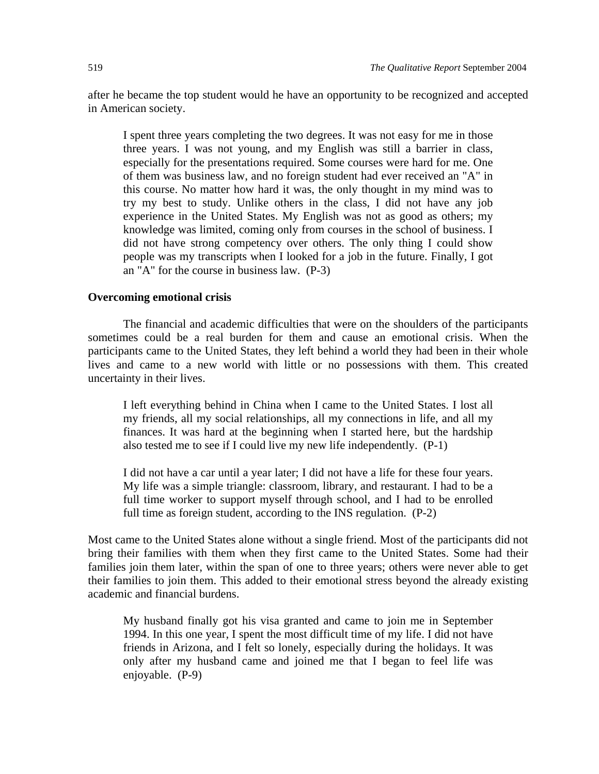after he became the top student would he have an opportunity to be recognized and accepted in American society.

I spent three years completing the two degrees. It was not easy for me in those three years. I was not young, and my English was still a barrier in class, especially for the presentations required. Some courses were hard for me. One of them was business law, and no foreign student had ever received an "A" in this course. No matter how hard it was, the only thought in my mind was to try my best to study. Unlike others in the class, I did not have any job experience in the United States. My English was not as good as others; my knowledge was limited, coming only from courses in the school of business. I did not have strong competency over others. The only thing I could show people was my transcripts when I looked for a job in the future. Finally, I got an "A" for the course in business law. (P-3)

#### **Overcoming emotional crisis**

The financial and academic difficulties that were on the shoulders of the participants sometimes could be a real burden for them and cause an emotional crisis. When the participants came to the United States, they left behind a world they had been in their whole lives and came to a new world with little or no possessions with them. This created uncertainty in their lives.

I left everything behind in China when I came to the United States. I lost all my friends, all my social relationships, all my connections in life, and all my finances. It was hard at the beginning when I started here, but the hardship also tested me to see if I could live my new life independently. (P-1)

I did not have a car until a year later; I did not have a life for these four years. My life was a simple triangle: classroom, library, and restaurant. I had to be a full time worker to support myself through school, and I had to be enrolled full time as foreign student, according to the INS regulation. (P-2)

Most came to the United States alone without a single friend. Most of the participants did not bring their families with them when they first came to the United States. Some had their families join them later, within the span of one to three years; others were never able to get their families to join them. This added to their emotional stress beyond the already existing academic and financial burdens.

My husband finally got his visa granted and came to join me in September 1994. In this one year, I spent the most difficult time of my life. I did not have friends in Arizona, and I felt so lonely, especially during the holidays. It was only after my husband came and joined me that I began to feel life was enjoyable. (P-9)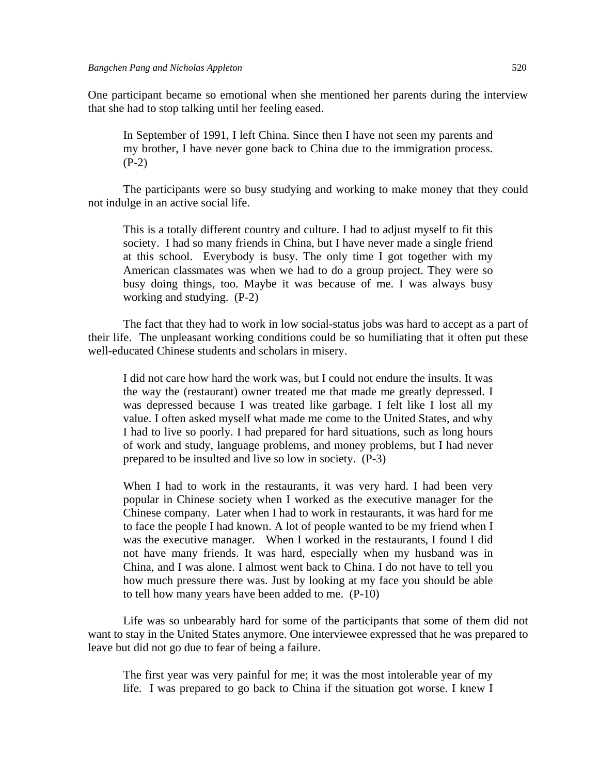One participant became so emotional when she mentioned her parents during the interview that she had to stop talking until her feeling eased.

In September of 1991, I left China. Since then I have not seen my parents and my brother, I have never gone back to China due to the immigration process.  $(P-2)$ 

The participants were so busy studying and working to make money that they could not indulge in an active social life.

This is a totally different country and culture. I had to adjust myself to fit this society. I had so many friends in China, but I have never made a single friend at this school. Everybody is busy. The only time I got together with my American classmates was when we had to do a group project. They were so busy doing things, too. Maybe it was because of me. I was always busy working and studying. (P-2)

The fact that they had to work in low social-status jobs was hard to accept as a part of their life. The unpleasant working conditions could be so humiliating that it often put these well-educated Chinese students and scholars in misery.

I did not care how hard the work was, but I could not endure the insults. It was the way the (restaurant) owner treated me that made me greatly depressed. I was depressed because I was treated like garbage. I felt like I lost all my value. I often asked myself what made me come to the United States, and why I had to live so poorly. I had prepared for hard situations, such as long hours of work and study, language problems, and money problems, but I had never prepared to be insulted and live so low in society. (P-3)

When I had to work in the restaurants, it was very hard. I had been very popular in Chinese society when I worked as the executive manager for the Chinese company. Later when I had to work in restaurants, it was hard for me to face the people I had known. A lot of people wanted to be my friend when I was the executive manager. When I worked in the restaurants, I found I did not have many friends. It was hard, especially when my husband was in China, and I was alone. I almost went back to China. I do not have to tell you how much pressure there was. Just by looking at my face you should be able to tell how many years have been added to me. (P-10)

Life was so unbearably hard for some of the participants that some of them did not want to stay in the United States anymore. One interviewee expressed that he was prepared to leave but did not go due to fear of being a failure.

The first year was very painful for me; it was the most intolerable year of my life. I was prepared to go back to China if the situation got worse. I knew I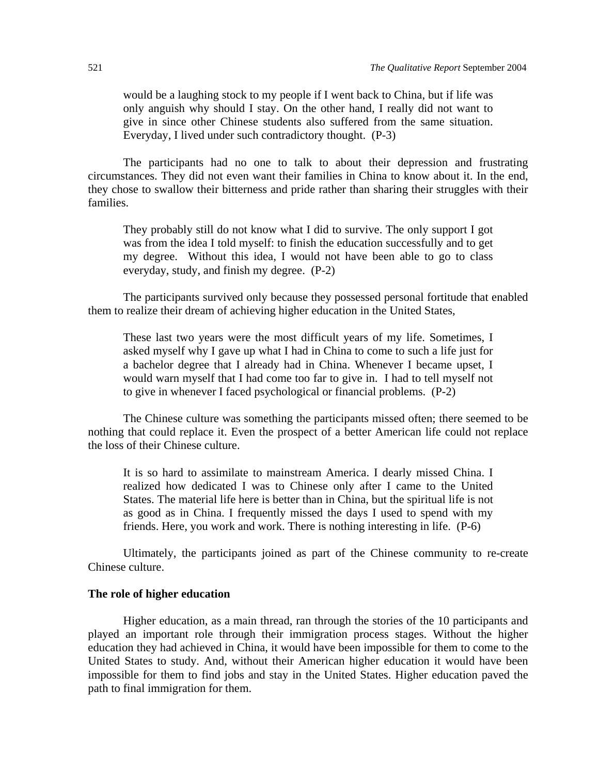would be a laughing stock to my people if I went back to China, but if life was only anguish why should I stay. On the other hand, I really did not want to give in since other Chinese students also suffered from the same situation. Everyday, I lived under such contradictory thought. (P-3)

The participants had no one to talk to about their depression and frustrating circumstances. They did not even want their families in China to know about it. In the end, they chose to swallow their bitterness and pride rather than sharing their struggles with their families.

They probably still do not know what I did to survive. The only support I got was from the idea I told myself: to finish the education successfully and to get my degree. Without this idea, I would not have been able to go to class everyday, study, and finish my degree. (P-2)

The participants survived only because they possessed personal fortitude that enabled them to realize their dream of achieving higher education in the United States,

These last two years were the most difficult years of my life. Sometimes, I asked myself why I gave up what I had in China to come to such a life just for a bachelor degree that I already had in China. Whenever I became upset, I would warn myself that I had come too far to give in. I had to tell myself not to give in whenever I faced psychological or financial problems. (P-2)

The Chinese culture was something the participants missed often; there seemed to be nothing that could replace it. Even the prospect of a better American life could not replace the loss of their Chinese culture.

It is so hard to assimilate to mainstream America. I dearly missed China. I realized how dedicated I was to Chinese only after I came to the United States. The material life here is better than in China, but the spiritual life is not as good as in China. I frequently missed the days I used to spend with my friends. Here, you work and work. There is nothing interesting in life. (P-6)

Ultimately, the participants joined as part of the Chinese community to re-create Chinese culture.

#### **The role of higher education**

Higher education, as a main thread, ran through the stories of the 10 participants and played an important role through their immigration process stages. Without the higher education they had achieved in China, it would have been impossible for them to come to the United States to study. And, without their American higher education it would have been impossible for them to find jobs and stay in the United States. Higher education paved the path to final immigration for them.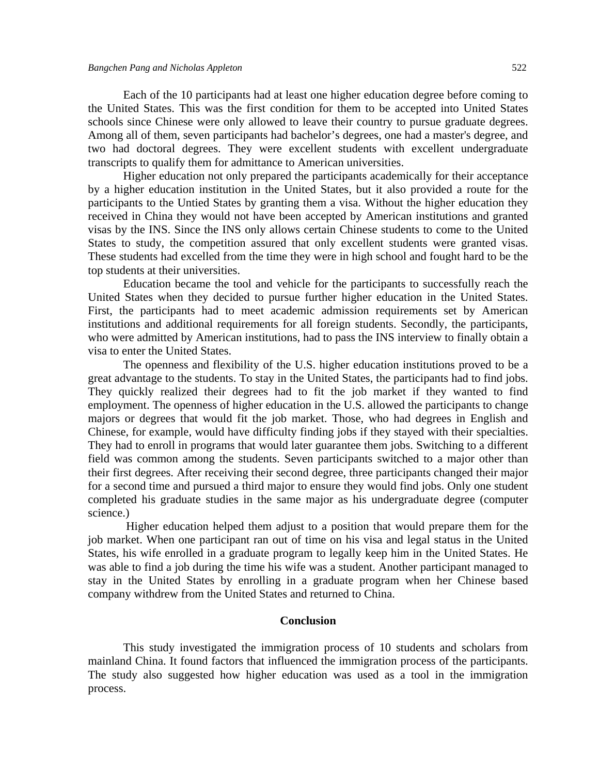Each of the 10 participants had at least one higher education degree before coming to the United States. This was the first condition for them to be accepted into United States schools since Chinese were only allowed to leave their country to pursue graduate degrees. Among all of them, seven participants had bachelor's degrees, one had a master's degree, and two had doctoral degrees. They were excellent students with excellent undergraduate transcripts to qualify them for admittance to American universities.

Higher education not only prepared the participants academically for their acceptance by a higher education institution in the United States, but it also provided a route for the participants to the Untied States by granting them a visa. Without the higher education they received in China they would not have been accepted by American institutions and granted visas by the INS. Since the INS only allows certain Chinese students to come to the United States to study, the competition assured that only excellent students were granted visas. These students had excelled from the time they were in high school and fought hard to be the top students at their universities.

Education became the tool and vehicle for the participants to successfully reach the United States when they decided to pursue further higher education in the United States. First, the participants had to meet academic admission requirements set by American institutions and additional requirements for all foreign students. Secondly, the participants, who were admitted by American institutions, had to pass the INS interview to finally obtain a visa to enter the United States.

The openness and flexibility of the U.S. higher education institutions proved to be a great advantage to the students. To stay in the United States, the participants had to find jobs. They quickly realized their degrees had to fit the job market if they wanted to find employment. The openness of higher education in the U.S. allowed the participants to change majors or degrees that would fit the job market. Those, who had degrees in English and Chinese, for example, would have difficulty finding jobs if they stayed with their specialties. They had to enroll in programs that would later guarantee them jobs. Switching to a different field was common among the students. Seven participants switched to a major other than their first degrees. After receiving their second degree, three participants changed their major for a second time and pursued a third major to ensure they would find jobs. Only one student completed his graduate studies in the same major as his undergraduate degree (computer science.)

 Higher education helped them adjust to a position that would prepare them for the job market. When one participant ran out of time on his visa and legal status in the United States, his wife enrolled in a graduate program to legally keep him in the United States. He was able to find a job during the time his wife was a student. Another participant managed to stay in the United States by enrolling in a graduate program when her Chinese based company withdrew from the United States and returned to China.

### **Conclusion**

 This study investigated the immigration process of 10 students and scholars from mainland China. It found factors that influenced the immigration process of the participants. The study also suggested how higher education was used as a tool in the immigration process.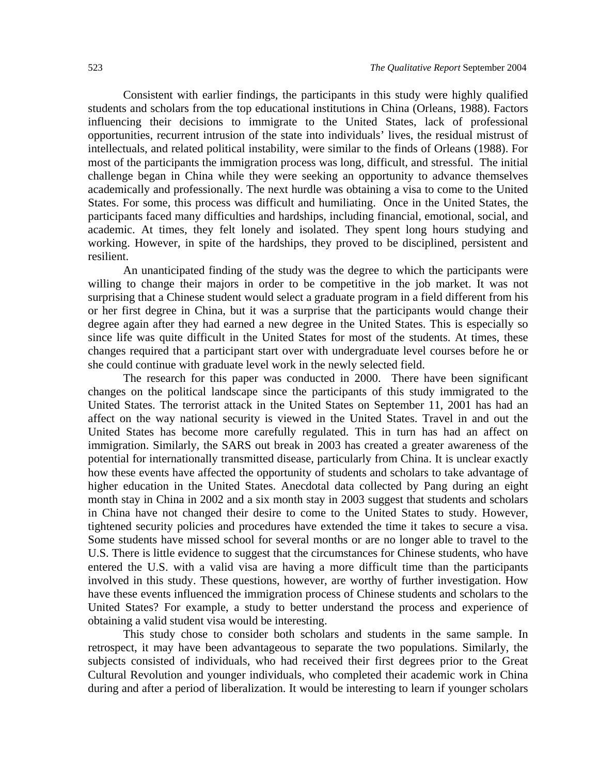Consistent with earlier findings, the participants in this study were highly qualified students and scholars from the top educational institutions in China (Orleans, 1988). Factors influencing their decisions to immigrate to the United States, lack of professional opportunities, recurrent intrusion of the state into individuals' lives, the residual mistrust of intellectuals, and related political instability, were similar to the finds of Orleans (1988). For most of the participants the immigration process was long, difficult, and stressful. The initial challenge began in China while they were seeking an opportunity to advance themselves academically and professionally. The next hurdle was obtaining a visa to come to the United States. For some, this process was difficult and humiliating. Once in the United States, the participants faced many difficulties and hardships, including financial, emotional, social, and academic. At times, they felt lonely and isolated. They spent long hours studying and working. However, in spite of the hardships, they proved to be disciplined, persistent and resilient.

An unanticipated finding of the study was the degree to which the participants were willing to change their majors in order to be competitive in the job market. It was not surprising that a Chinese student would select a graduate program in a field different from his or her first degree in China, but it was a surprise that the participants would change their degree again after they had earned a new degree in the United States. This is especially so since life was quite difficult in the United States for most of the students. At times, these changes required that a participant start over with undergraduate level courses before he or she could continue with graduate level work in the newly selected field.

The research for this paper was conducted in 2000. There have been significant changes on the political landscape since the participants of this study immigrated to the United States. The terrorist attack in the United States on September 11, 2001 has had an affect on the way national security is viewed in the United States. Travel in and out the United States has become more carefully regulated. This in turn has had an affect on immigration. Similarly, the SARS out break in 2003 has created a greater awareness of the potential for internationally transmitted disease, particularly from China. It is unclear exactly how these events have affected the opportunity of students and scholars to take advantage of higher education in the United States. Anecdotal data collected by Pang during an eight month stay in China in 2002 and a six month stay in 2003 suggest that students and scholars in China have not changed their desire to come to the United States to study. However, tightened security policies and procedures have extended the time it takes to secure a visa. Some students have missed school for several months or are no longer able to travel to the U.S. There is little evidence to suggest that the circumstances for Chinese students, who have entered the U.S. with a valid visa are having a more difficult time than the participants involved in this study. These questions, however, are worthy of further investigation. How have these events influenced the immigration process of Chinese students and scholars to the United States? For example, a study to better understand the process and experience of obtaining a valid student visa would be interesting.

This study chose to consider both scholars and students in the same sample. In retrospect, it may have been advantageous to separate the two populations. Similarly, the subjects consisted of individuals, who had received their first degrees prior to the Great Cultural Revolution and younger individuals, who completed their academic work in China during and after a period of liberalization. It would be interesting to learn if younger scholars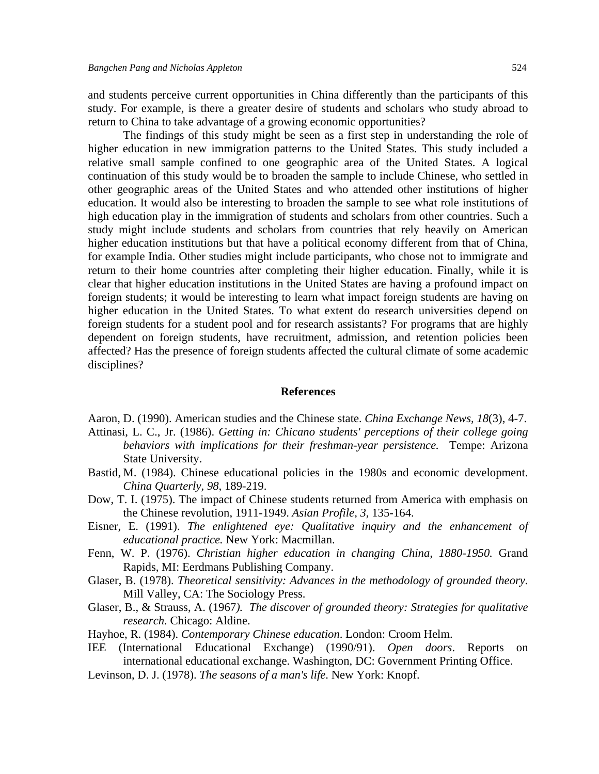and students perceive current opportunities in China differently than the participants of this study. For example, is there a greater desire of students and scholars who study abroad to return to China to take advantage of a growing economic opportunities?

The findings of this study might be seen as a first step in understanding the role of higher education in new immigration patterns to the United States. This study included a relative small sample confined to one geographic area of the United States. A logical continuation of this study would be to broaden the sample to include Chinese, who settled in other geographic areas of the United States and who attended other institutions of higher education. It would also be interesting to broaden the sample to see what role institutions of high education play in the immigration of students and scholars from other countries. Such a study might include students and scholars from countries that rely heavily on American higher education institutions but that have a political economy different from that of China, for example India. Other studies might include participants, who chose not to immigrate and return to their home countries after completing their higher education. Finally, while it is clear that higher education institutions in the United States are having a profound impact on foreign students; it would be interesting to learn what impact foreign students are having on higher education in the United States. To what extent do research universities depend on foreign students for a student pool and for research assistants? For programs that are highly dependent on foreign students, have recruitment, admission, and retention policies been affected? Has the presence of foreign students affected the cultural climate of some academic disciplines?

#### **References**

Aaron, D. (1990). American studies and the Chinese state. *China Exchange News, 18*(3), 4-7.

- Attinasi, L. C., Jr. (1986). *Getting in: Chicano students' perceptions of their college going behaviors with implications for their freshman-year persistence.* Tempe: Arizona State University.
- Bastid, M. (1984). Chinese educational policies in the 1980s and economic development. *China Quarterly, 98*, 189-219.
- Dow, T. I. (1975). The impact of Chinese students returned from America with emphasis on the Chinese revolution, 1911-1949. *Asian Profile, 3,* 135-164.
- Eisner, E. (1991). *The enlightened eye: Qualitative inquiry and the enhancement of educational practice.* New York: Macmillan.
- Fenn, W. P. (1976). *Christian higher education in changing China, 1880-1950.* Grand Rapids, MI: Eerdmans Publishing Company.
- Glaser, B. (1978). *Theoretical sensitivity: Advances in the methodology of grounded theory.*  Mill Valley, CA: The Sociology Press.
- Glaser, B., & Strauss, A. (1967*). The discover of grounded theory: Strategies for qualitative research.* Chicago: Aldine.
- Hayhoe, R. (1984). *Contemporary Chinese education*. London: Croom Helm.
- IEE (International Educational Exchange) (1990/91). *Open doors*. Reports on international educational exchange. Washington, DC: Government Printing Office.
- Levinson, D. J. (1978). *The seasons of a man's life*. New York: Knopf.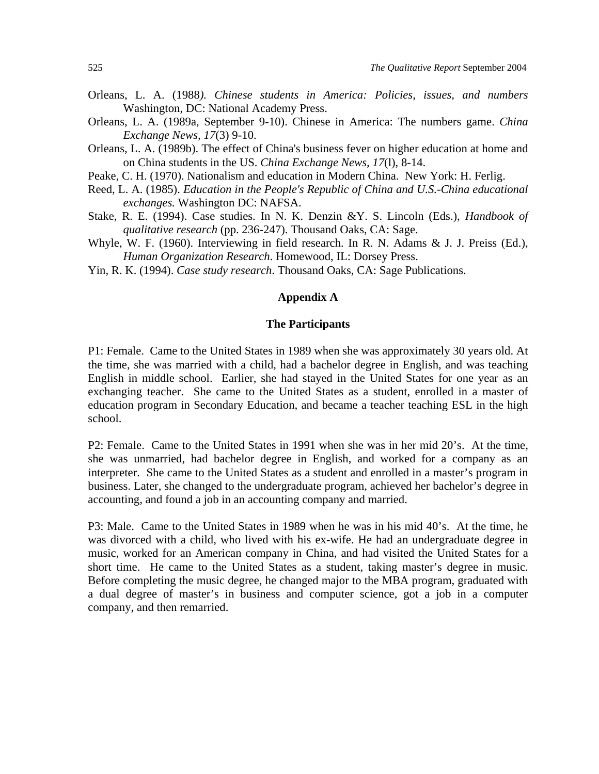- Orleans, L. A. (1988*). Chinese students in America: Policies, issues, and numbers*  Washington, DC: National Academy Press.
- Orleans, L. A. (1989a, September 9-10). Chinese in America: The numbers game. *China Exchange News, 17*(3) 9-10.
- Orleans, L. A. (1989b). The effect of China's business fever on higher education at home and on China students in the US. *China Exchange News, 17*(l), 8-14.
- Peake, C. H. (1970). Nationalism and education in Modern China. New York: H. Ferlig.
- Reed, L. A. (1985). *Education in the People's Republic of China and U.S.-China educational exchanges.* Washington DC: NAFSA.
- Stake, R. E. (1994). Case studies. In N. K. Denzin &Y. S. Lincoln (Eds.), *Handbook of qualitative research* (pp. 236-247). Thousand Oaks, CA: Sage.
- Whyle, W. F. (1960). Interviewing in field research. In R. N. Adams & J. J. Preiss (Ed.), *Human Organization Research*. Homewood, IL: Dorsey Press.
- Yin, R. K. (1994). *Case study research*. Thousand Oaks, CA: Sage Publications.

## **Appendix A**

#### **The Participants**

P1: Female. Came to the United States in 1989 when she was approximately 30 years old. At the time, she was married with a child, had a bachelor degree in English, and was teaching English in middle school. Earlier, she had stayed in the United States for one year as an exchanging teacher. She came to the United States as a student, enrolled in a master of education program in Secondary Education, and became a teacher teaching ESL in the high school.

P2: Female. Came to the United States in 1991 when she was in her mid 20's. At the time, she was unmarried, had bachelor degree in English, and worked for a company as an interpreter. She came to the United States as a student and enrolled in a master's program in business. Later, she changed to the undergraduate program, achieved her bachelor's degree in accounting, and found a job in an accounting company and married.

P3: Male. Came to the United States in 1989 when he was in his mid 40's. At the time, he was divorced with a child, who lived with his ex-wife. He had an undergraduate degree in music, worked for an American company in China, and had visited the United States for a short time. He came to the United States as a student, taking master's degree in music. Before completing the music degree, he changed major to the MBA program, graduated with a dual degree of master's in business and computer science, got a job in a computer company, and then remarried.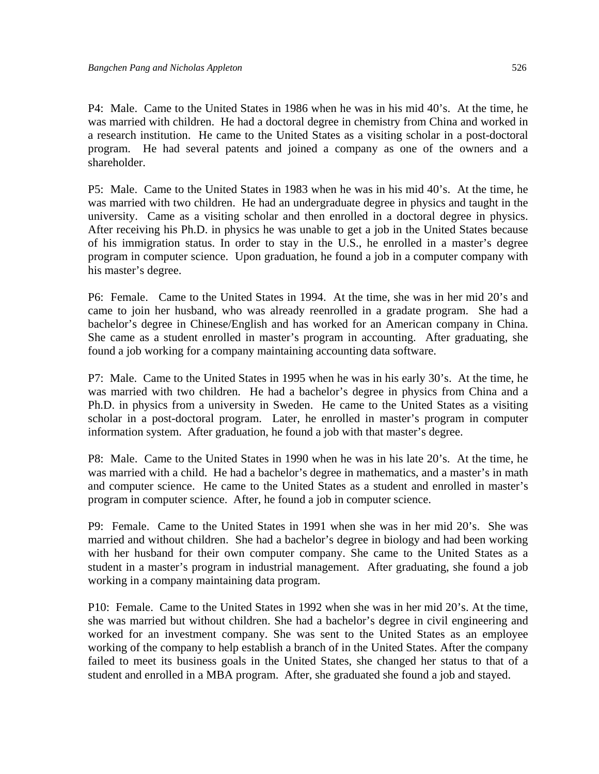P4: Male. Came to the United States in 1986 when he was in his mid 40's. At the time, he was married with children. He had a doctoral degree in chemistry from China and worked in a research institution. He came to the United States as a visiting scholar in a post-doctoral program. He had several patents and joined a company as one of the owners and a shareholder.

P5: Male. Came to the United States in 1983 when he was in his mid 40's. At the time, he was married with two children. He had an undergraduate degree in physics and taught in the university. Came as a visiting scholar and then enrolled in a doctoral degree in physics. After receiving his Ph.D. in physics he was unable to get a job in the United States because of his immigration status. In order to stay in the U.S., he enrolled in a master's degree program in computer science. Upon graduation, he found a job in a computer company with his master's degree.

P6: Female. Came to the United States in 1994. At the time, she was in her mid 20's and came to join her husband, who was already reenrolled in a gradate program. She had a bachelor's degree in Chinese/English and has worked for an American company in China. She came as a student enrolled in master's program in accounting. After graduating, she found a job working for a company maintaining accounting data software.

P7: Male. Came to the United States in 1995 when he was in his early 30's. At the time, he was married with two children. He had a bachelor's degree in physics from China and a Ph.D. in physics from a university in Sweden. He came to the United States as a visiting scholar in a post-doctoral program. Later, he enrolled in master's program in computer information system. After graduation, he found a job with that master's degree.

P8: Male. Came to the United States in 1990 when he was in his late 20's. At the time, he was married with a child. He had a bachelor's degree in mathematics, and a master's in math and computer science. He came to the United States as a student and enrolled in master's program in computer science. After, he found a job in computer science.

P9: Female. Came to the United States in 1991 when she was in her mid 20's. She was married and without children. She had a bachelor's degree in biology and had been working with her husband for their own computer company. She came to the United States as a student in a master's program in industrial management. After graduating, she found a job working in a company maintaining data program.

P10: Female. Came to the United States in 1992 when she was in her mid 20's. At the time, she was married but without children. She had a bachelor's degree in civil engineering and worked for an investment company. She was sent to the United States as an employee working of the company to help establish a branch of in the United States. After the company failed to meet its business goals in the United States, she changed her status to that of a student and enrolled in a MBA program. After, she graduated she found a job and stayed.